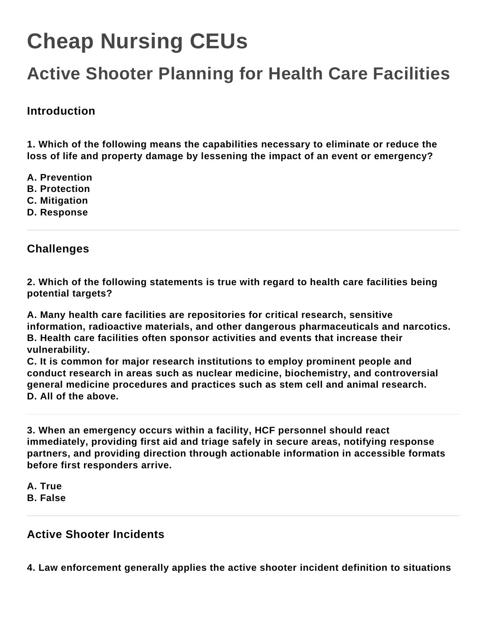# **Cheap Nursing CEUs**

# **Active Shooter Planning for Health Care Facilities**

## **Introduction**

**1. Which of the following means the capabilities necessary to eliminate or reduce the loss of life and property damage by lessening the impact of an event or emergency?**

- **A. Prevention**
- **B. Protection**
- **C. Mitigation**
- **D. Response**

### **Challenges**

**2. Which of the following statements is true with regard to health care facilities being potential targets?**

**A. Many health care facilities are repositories for critical research, sensitive information, radioactive materials, and other dangerous pharmaceuticals and narcotics. B. Health care facilities often sponsor activities and events that increase their vulnerability.**

**C. It is common for major research institutions to employ prominent people and conduct research in areas such as nuclear medicine, biochemistry, and controversial general medicine procedures and practices such as stem cell and animal research. D. All of the above.**

**3. When an emergency occurs within a facility, HCF personnel should react immediately, providing first aid and triage safely in secure areas, notifying response partners, and providing direction through actionable information in accessible formats before first responders arrive.**

**A. True B. False**

#### **Active Shooter Incidents**

**4. Law enforcement generally applies the active shooter incident definition to situations**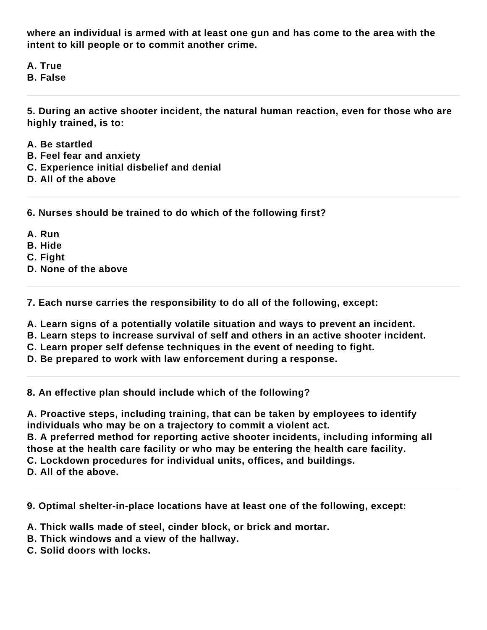**where an individual is armed with at least one gun and has come to the area with the intent to kill people or to commit another crime.**

**A. True**

**B. False**

**5. During an active shooter incident, the natural human reaction, even for those who are highly trained, is to:**

- **A. Be startled**
- **B. Feel fear and anxiety**
- **C. Experience initial disbelief and denial**
- **D. All of the above**

**6. Nurses should be trained to do which of the following first?**

- **A. Run**
- **B. Hide**
- **C. Fight**
- **D. None of the above**

**7. Each nurse carries the responsibility to do all of the following, except:**

- **A. Learn signs of a potentially volatile situation and ways to prevent an incident.**
- **B. Learn steps to increase survival of self and others in an active shooter incident.**
- **C. Learn proper self defense techniques in the event of needing to fight.**
- **D. Be prepared to work with law enforcement during a response.**

**8. An effective plan should include which of the following?**

**A. Proactive steps, including training, that can be taken by employees to identify individuals who may be on a trajectory to commit a violent act.**

**B. A preferred method for reporting active shooter incidents, including informing all those at the health care facility or who may be entering the health care facility. C. Lockdown procedures for individual units, offices, and buildings.**

**D. All of the above.**

**9. Optimal shelter-in-place locations have at least one of the following, except:**

- **A. Thick walls made of steel, cinder block, or brick and mortar.**
- **B. Thick windows and a view of the hallway.**
- **C. Solid doors with locks.**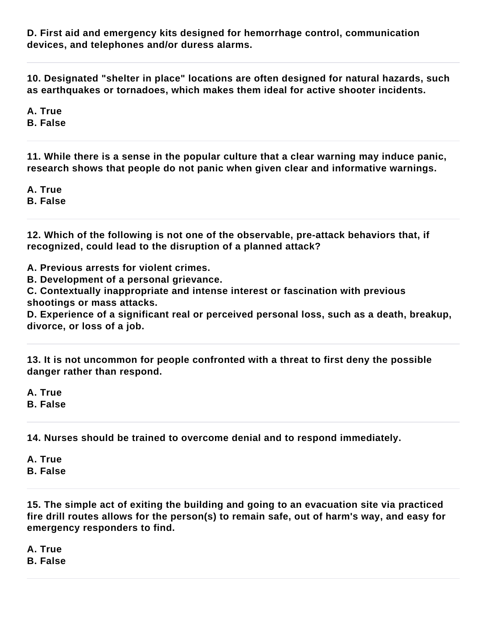**D. First aid and emergency kits designed for hemorrhage control, communication devices, and telephones and/or duress alarms.**

**10. Designated "shelter in place" locations are often designed for natural hazards, such as earthquakes or tornadoes, which makes them ideal for active shooter incidents.**

**A. True**

**B. False**

**11. While there is a sense in the popular culture that a clear warning may induce panic, research shows that people do not panic when given clear and informative warnings.**

**A. True B. False**

**12. Which of the following is not one of the observable, pre-attack behaviors that, if recognized, could lead to the disruption of a planned attack?**

**A. Previous arrests for violent crimes.**

**B. Development of a personal grievance.**

**C. Contextually inappropriate and intense interest or fascination with previous shootings or mass attacks.**

**D. Experience of a significant real or perceived personal loss, such as a death, breakup, divorce, or loss of a job.**

**13. It is not uncommon for people confronted with a threat to first deny the possible danger rather than respond.**

**A. True**

**B. False**

**14. Nurses should be trained to overcome denial and to respond immediately.**

**A. True B. False**

**15. The simple act of exiting the building and going to an evacuation site via practiced fire drill routes allows for the person(s) to remain safe, out of harm's way, and easy for emergency responders to find.**

**A. True**

**B. False**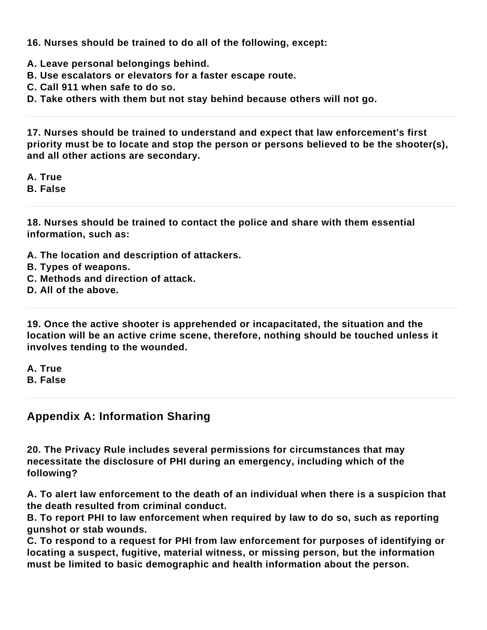**16. Nurses should be trained to do all of the following, except:**

- **A. Leave personal belongings behind.**
- **B. Use escalators or elevators for a faster escape route.**
- **C. Call 911 when safe to do so.**

**D. Take others with them but not stay behind because others will not go.**

**17. Nurses should be trained to understand and expect that law enforcement's first priority must be to locate and stop the person or persons believed to be the shooter(s), and all other actions are secondary.**

**A. True**

**B. False**

**18. Nurses should be trained to contact the police and share with them essential information, such as:**

- **A. The location and description of attackers.**
- **B. Types of weapons.**
- **C. Methods and direction of attack.**
- **D. All of the above.**

**19. Once the active shooter is apprehended or incapacitated, the situation and the location will be an active crime scene, therefore, nothing should be touched unless it involves tending to the wounded.**

**A. True**

**B. False**

#### **Appendix A: Information Sharing**

**20. The Privacy Rule includes several permissions for circumstances that may necessitate the disclosure of PHI during an emergency, including which of the following?**

**A. To alert law enforcement to the death of an individual when there is a suspicion that the death resulted from criminal conduct.**

**B. To report PHI to law enforcement when required by law to do so, such as reporting gunshot or stab wounds.**

**C. To respond to a request for PHI from law enforcement for purposes of identifying or locating a suspect, fugitive, material witness, or missing person, but the information must be limited to basic demographic and health information about the person.**